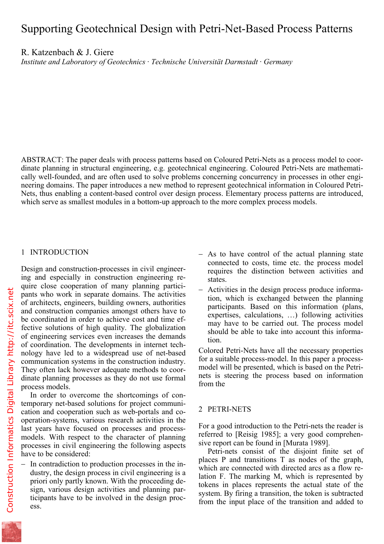R. Katzenbach & J. Giere *Institute and Laboratory of Geotechnics · Technische Universität Darmstadt · Germany* 

ABSTRACT: The paper deals with process patterns based on Coloured Petri-Nets as a process model to coordinate planning in structural engineering, e.g. geotechnical engineering. Coloured Petri-Nets are mathematically well-founded, and are often used to solve problems concerning concurrency in processes in other engineering domains. The paper introduces a new method to represent geotechnical information in Coloured Petri-Nets, thus enabling a content-based control over design process. Elementary process patterns are introduced, which serve as smallest modules in a bottom-up approach to the more complex process models.

# 1 INTRODUCTION

Design and construction-processes in civil engineering and especially in construction engineering require close cooperation of many planning participants who work in separate domains. The activities of architects, engineers, building owners, authorities and construction companies amongst others have to be coordinated in order to achieve cost and time effective solutions of high quality. The globalization of engineering services even increases the demands of coordination. The developments in internet technology have led to a widespread use of net-based communication systems in the construction industry. They often lack however adequate methods to coordinate planning processes as they do not use formal process models.

In order to overcome the shortcomings of contemporary net-based solutions for project communication and cooperation such as web-portals and cooperation-systems, various research activities in the last years have focused on processes and processmodels. With respect to the character of planning processes in civil engineering the following aspects have to be considered:

− In contradiction to production processes in the industry, the design process in civil engineering is a priori only partly known. With the proceeding design, various design activities and planning participants have to be involved in the design process.

- − As to have control of the actual planning state connected to costs, time etc. the process model requires the distinction between activities and states.
- − Activities in the design process produce information, which is exchanged between the planning participants. Based on this information (plans, expertises, calculations, …) following activities may have to be carried out. The process model should be able to take into account this information.

Colored Petri-Nets have all the necessary properties for a suitable process-model. In this paper a processmodel will be presented, which is based on the Petrinets is steering the process based on information from the

## 2 PETRI-NETS

For a good introduction to the Petri-nets the reader is referred to [Reisig 1985]; a very good comprehensive report can be found in [Murata 1989].

Petri-nets consist of the disjoint finite set of places P and transitions T as nodes of the graph, which are connected with directed arcs as a flow relation F. The marking M, which is represented by tokens in places represents the actual state of the system. By firing a transition, the token is subtracted from the input place of the transition and added to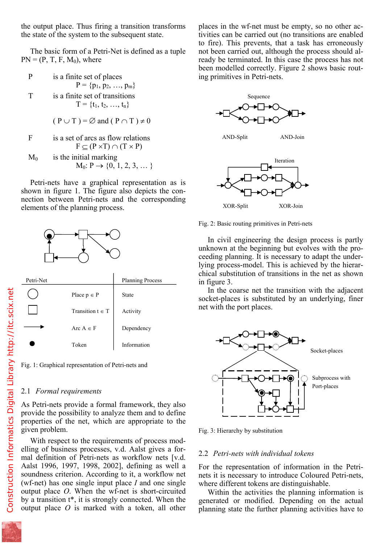the state of the system to the subsequent state.

The basic form of a Petri-Net is defined as a tuple  $PN = (P, T, F, M_0)$ , where

|        | is a finite set of places      |
|--------|--------------------------------|
|        | $P = \{p_1, p_2, , p_m\}$      |
| $\top$ | is a finite set of transitions |
|        | $T = \{t_1, t_2, , t_n\}$      |
|        |                                |

$$
(P \cup T) = \varnothing \text{ and } (P \cap T) \neq 0
$$

F is a set of arcs as flow relations  

$$
F \subseteq (P \times T) \cap (T \times P)
$$

 $M_0$  is the initial marking  $M_0: P \to \{0, 1, 2, 3, \dots\}$ 

Petri-nets have a graphical representation as is shown in figure 1. The figure also depicts the connection between Petri-nets and the corresponding elements of the planning process.



|                      | $\ldots$     |
|----------------------|--------------|
| Place $p \in P$      | <b>State</b> |
| Transition $t \in T$ | Activity     |
| Arc $A \in F$        | Dependency   |
| Token                | Information  |

Fig. 1: Graphical representation of Petri-nets and

### 2.1 *Formal requirements*

As Petri-nets provide a formal framework, they also provide the possibility to analyze them and to define properties of the net, which are appropriate to the given problem.

With respect to the requirements of process modelling of business processes, v.d. Aalst gives a formal definition of Petri-nets as workflow nets [v.d. Aalst 1996, 1997, 1998, 2002], defining as well a soundness criterion. According to it, a workflow net (wf-net) has one single input place *I* and one single output place *O*. When the wf-net is short-circuited by a transition t\*, it is strongly connected. When the output place *O* is marked with a token, all other

tivities can be carried out (no transitions are enabled to fire). This prevents, that a task has erroneously not been carried out, although the process should already be terminated. In this case the process has not been modelled correctly. Figure 2 shows basic routing primitives in Petri-nets.



AND-Split AND-Join





Fig. 2: Basic routing primitives in Petri-nets

In civil engineering the design process is partly unknown at the beginning but evolves with the proceeding planning. It is necessary to adapt the underlying process-model. This is achieved by the hierarchical substitution of transitions in the net as shown in figure 3.

In the coarse net the transition with the adjacent socket-places is substituted by an underlying, finer net with the port places.



Fig. 3: Hierarchy by substitution

#### 2.2 *Petri-nets with individual tokens*

For the representation of information in the Petrinets it is necessary to introduce Coloured Petri-nets, where different tokens are distinguishable.

Within the activities the planning information is generated or modified. Depending on the actual planning state the further planning activities have to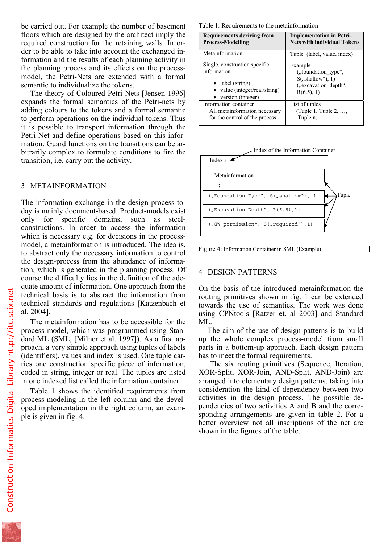floors which are designed by the architect imply the required construction for the retaining walls. In order to be able to take into account the exchanged information and the results of each planning activity in the planning process and its effects on the processmodel, the Petri-Nets are extended with a formal semantic to individualize the tokens.

The theory of Coloured Petri-Nets [Jensen 1996] expands the formal semantics of the Petri-nets by adding colours to the tokens and a formal semantic to perform operations on the individual tokens. Thus it is possible to transport information through the Petri-Net and define operations based on this information. Guard functions on the transitions can be arbitrarily complex to formulate conditions to fire the transition, i.e. carry out the activity.

## 3 METAINFORMATION

The information exchange in the design process today is mainly document-based. Product-models exist only for specific domains, such as steelconstructions. In order to access the information which is necessary e.g. for decisions in the processmodel, a metainformation is introduced. The idea is, to abstract only the necessary information to control the design-process from the abundance of information, which is generated in the planning process. Of course the difficulty lies in the definition of the adequate amount of information. One approach from the technical basis is to abstract the information from technical standards and regulations [Katzenbach et al. 2004].

The metainformation has to be accessible for the process model, which was programmed using Standard ML (SML, [Milner et al. 1997]). As a first approach, a very simple approach using tuples of labels (identifiers), values and index is used. One tuple carries one construction specific piece of information, coded in string, integer or real. The tuples are listed in one indexed list called the information container.

Table 1 shows the identified requirements from process-modeling in the left column and the developed implementation in the right column, an example is given in fig. 4.

| <b>Requirements deriving from</b> | <b>Implementation in Petri-</b>    |  |
|-----------------------------------|------------------------------------|--|
| <b>Process-Modelling</b>          | <b>Nets with individual Tokens</b> |  |
| Metainformation                   | Tuple (label, value, index)        |  |
| Single, construction specific     | Example                            |  |
| information                       | ("foundation type",                |  |
| • label (string)                  | $S($ , shallow"), 1)               |  |
| • value (integer/real/string)     | ("excavation depth",               |  |
| $\bullet$ version (integer)       | R(6.5), 1)                         |  |
| Information container             | List of tuples                     |  |
| All metainformation necessary     | (Tuple 1, Tuple 2, ,               |  |
| for the control of the process    | Tuple n)                           |  |



Figure 4: Information Container in SML (Example)

# 4 DESIGN PATTERNS

On the basis of the introduced metainformation the routing primitives shown in fig. 1 can be extended towards the use of semantics. The work was done using CPNtools [Ratzer et. al 2003] and Standard ML.

The aim of the use of design patterns is to build up the whole complex process-model from small parts in a bottom-up approach. Each design pattern has to meet the formal requirements.

 The six routing primitives (Sequence, Iteration, XOR-Split, XOR-Join, AND-Split, AND-Join) are arranged into elementary design patterns, taking into consideration the kind of dependency between two activities in the design process. The possible dependencies of two activities A and B and the corresponding arrangements are given in table 2. For a better overview not all inscriptions of the net are shown in the figures of the table.

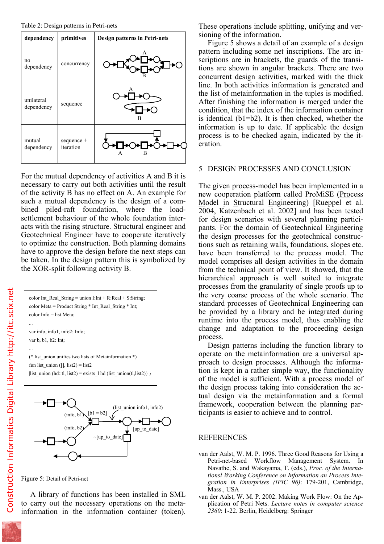

For the mutual dependency of activities A and B it is necessary to carry out both activities until the result of the activity B has no effect on A. An example for such a mutual dependency is the design of a combined piled-raft foundation, where the loadsettlement behaviour of the whole foundation interacts with the rising structure. Structural engineer and Geotechnical Engineer have to cooperate iteratively to optimize the construction. Both planning domains have to approve the design before the next steps can be taken. In the design pattern this is symbolized by the XOR-split following activity B.

color Int\_Real\_String = union I:Int + R:Real + S:String; color Meta = Product String  $*$  Int Real\_String  $*$  Int; color Info = list Meta;

var info, info1, info2: Info; var b, b1, b2: Int;

...

...

(\* list\_union unifies two lists of Metainformation \*) fun list\_union ([], list2) = list2  $|list\_union(hd::tl, list2) = exists_lhd(list\_union(tl,list2))$ ;



Figure 5: Detail of Petri-net

A library of functions has been installed in SML to carry out the necessary operations on the metainformation in the information container (token). sioning of the information.

Figure 5 shows a detail of an example of a design pattern including some net inscriptions. The arc inscriptions are in brackets, the guards of the transitions are shown in angular brackets. There are two concurrent design activities, marked with the thick line. In both activities information is generated and the list of metainformation in the tuples is modified. After finishing the information is merged under the condition, that the index of the information container is identical (b1=b2). It is then checked, whether the information is up to date. If applicable the design process is to be checked again, indicated by the iteration.

### 5 DESIGN PROCESSES AND CONCLUSION

The given process-model has been implemented in a new cooperation platform called ProMiSE (Process Model in Structural Engineering) [Rueppel et al. 2004, Katzenbach et al. 2002] and has been tested for design scenarios with several planning participants. For the domain of Geotechnical Engineering the design processes for the geotechnical constructions such as retaining walls, foundations, slopes etc. have been transferred to the process model. The model comprises all design activities in the domain from the technical point of view. It showed, that the hierarchical approach is well suited to integrate processes from the granularity of single proofs up to the very coarse process of the whole scenario. The standard processes of Geotechnical Engineering can be provided by a library and be integrated during runtime into the process model, thus enabling the change and adaptation to the proceeding design process.

Design patterns including the function library to operate on the metainformation are a universal approach to design processes. Although the information is kept in a rather simple way, the functionality of the model is sufficient. With a process model of the design process taking into consideration the actual design via the metainformation and a formal framework, cooperation between the planning participants is easier to achieve and to control.

#### REFERENCES

- van der Aalst, W. M. P. 1996. Three Good Reasons for Using a Petri-net-based Workflow Management System. In Navathe, S. and Wakayama, T. (eds.), *Proc. of the Internationsl Working Conference on Information an Process Integration in Enterprises (IPIC 96)*: 179-201, Cambridge, Mass., USA
- van der Aalst, W. M. P. 2002. Making Work Flow: On the Application of Petri Nets. *Lecture notes in computer science 2360*: 1-22. Berlin, Heidelberg: Springer